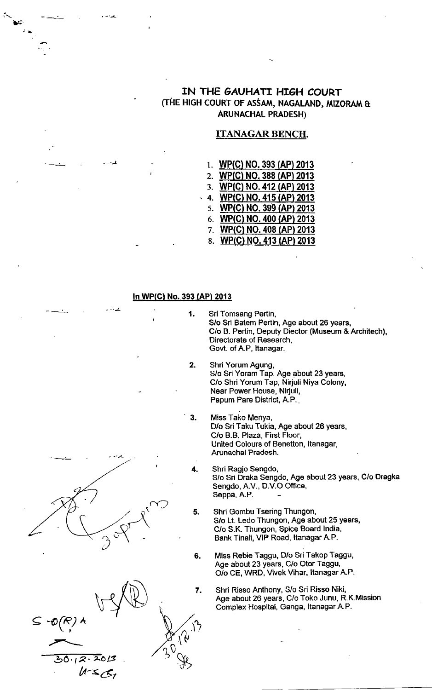# IN THE GAUHATI HIGH COURT (THE HIGH COURT OF ASSAM, NAGALAND, MIZORAM & ARUNACHAL PRADESH)

# ITANAGAR BENCH.

- 1. WP(C) NO. 393 (AP) 2013
- 2. WP(C) NO. 388 (AP) 2013
- 3. WP(C) NO. 412 (AP) 2013
- 4. <u>WP(C) NO. 415 (AP) 2013</u>
- 5 <u>WP(C) NO. 399 (AP) 2013</u> 6. WP(C) NO. 400 (AP) 2013
- 7. <u>WP(C) NO. 408 (AP) 2013</u>
- 8. WP(C) NO, 413 (AP) 2013

#### ln WP(G) No. 393 (AP) 2013

 $\cdot$  - $\cdot$  - $\pm$ 

Lri

- -J-

Sri Tomsang Pertin, S/o Sri Batem Pertin, Age about 26 years, C/o B. Pertin, Deputy Diector (Museum & Architech), Directorate of Research, Govt. of A.P, ltanagar. Shri Yorum Agung, Papum Pare District, A.P.. Miss Tako Menya, Arunachal Pradesh. 4. Shri Ragjo Sengdo, Seppa, A.P. 1 2 3  $\begin{matrix} \sqrt{1} & 5. \end{matrix}$ 6 Shri Gombu Tsering Thungon,  $\mathcal{L}$  $\overline{\sim}$ 



 $\subseteq$ 

- 
- S/o Sri Yoram Tap, Age about 23 years, C/o Shri Yorum Tap, Nirjuli Niya Colony, Near Power House, Nirjuli,
- D/o Sri Taku Tukia, Age about 26 years, C/o B.B. Plaza, First Floor, United Colours of Benetton, ltanagar,
	- S/o Sri Draka Sengdo, Age about 23 years, C/o Dragka Sengdo, A.V., D.V.O Office,
	- S/o Lt. Ledo Thungon, Age about 25 years, C/o S.K. Thungon, Spice Board lndia, Bank Tinali, VIF Road, ltanagar A.P.
- Miss Rebie Taggu, D/o Sri Takop Taggu, Age about 23 years, C/o Otor Taggu, O/o CE, WRD, Vivek Vihar, ltanagar A.P.
	- Shri Risso Anthony, S/o Sri Risso Niki, Age about 26 years, C/o Toko Junu, R.K.Mission Complex Hospital, Ganga, ltanagar A.P.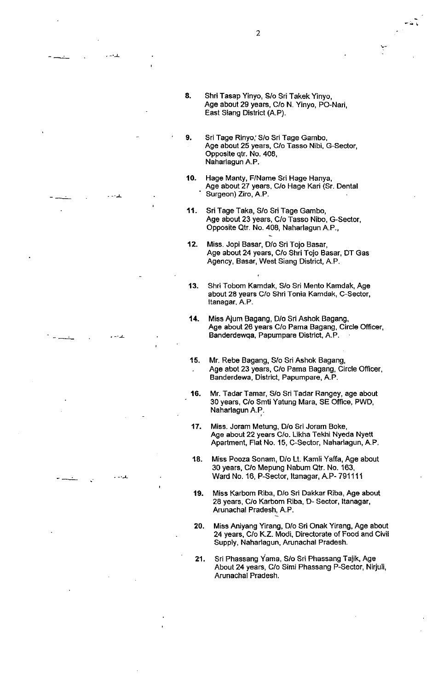مي .<br>ما قامت

- 8. Shri Tasap Yinyo, S/o Sri Takek Yinyo, Age about 29 years, C/o N. Yinyo, PO-Nari, East Siang District (A.P).
- Sri Tage Rinyo,'S/o Sri Tage Gambo, Age about 25 years, C/o Tasso Nibi, G-Sector, Opposite qtr. No. 408, Naharlagun A.P. 9.
- 10. Hage Manty, F/Name Sri Hage Hanya, Age about 27 years, C/o Hage Kari (Sr. Dental Surgeon) Ziro, A.P.
- 11. Sri Tage Taka, S/o Sri Tage Gambo, Age about 23 years, C/o Tasso Nibo, G-Sector, Opposite Qtr. No. 408, Naharlagun A.P.,
- '12. Miss. Jopi Basar, D/o Sri Tojo Basar, Age about 24 years, C/o Shri Tojo Basar, DT Gas Agency, Basar, West Siang District, A.P.
- 13. Shri Tobom Kamdak, S/o Sri Mento Kamdak, Age about 28 years C/o Shri Tonia Kamdak, C-Sector, Itanagar, A.P.

للداماء

- 14. Miss Ajum Bagang, D/o Sri Ashok Bagang, Age about 26 years C/o Pama Bagang, Circle Officer, Banderdewqa, Papumpare District, A.P.
- 15. Mr. Rebe Bagang, S/o Sri Ashok Bagang, . Age abot 23 years, C/o Pama Bagang, Circle Officer, Banderdewa, District, Papumpare, A.P.
- 16, Mr. Tadar Tamar, S/o Sri Tadar Rangey, age about 30 years, C/o Smti Yatung Mara, SE Office, PWD, Naharlagun A.P.
- 17. Miss. Joram Metung, D/o Sri Joram Boke, Age about 22 years C/o. Likha Tekhi Nyeda Nyett Apartment, Flat No. 15, C-Sector, Naharlagun, A.P
- 18. Miss Pooza Sonam, Dio Lt. Kamli Yaffa, Age about 30 years, C/o Mepung Nabum Qtr. No. 163, Ward No. 16, P-Sector, ltanagar, A.P- 7911 11
- 19. Miss Karbom Riba, D/o Sri Dakkar Riba, Age about 28 years, C/o Karbom Riba, D- Sector, ltanagar, Arunachal Pradesh, A.P.
- 20. Miss Aniyang Yirang, D/o Sri Onak Yirang, Age about 24 years, C/o K.Z. Modi, Directorate of Food and Civil Supply, Naharlagun, Arunachal Pradesh.
- 21. Sri Phassang Yama, S/o Sri Phassang Taiik, Age About 24 years, C/o Simi Phassang P-Sector, Nirjuli, Arunachal Pradesh.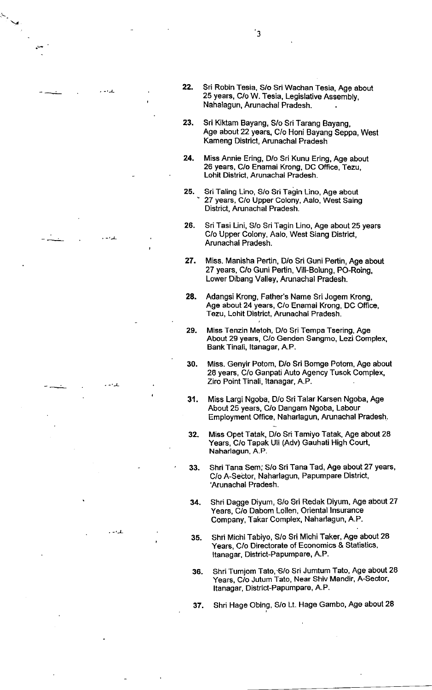- 23. Sri KiKam Bayang, S/o Sri Tarang Bayang, Age about 22 years, C/o Honi Bayang Seppa, West Kameng District, Arunachal Pradesh
- 24. Miss Annie Ering, D/o Sri Kunu Ering, Age about 26 years, C/o Enamai Krong, DC Office, Tezu, Lohit District, Arunachal Pradesh.
- 25, Sri Taling Lino, S/o Sri Tagin Lino, Age about ' 27 years, C/o Upper Colony, Aalo, West Saing District, Arunachal Pradesh.

.-.L

 $-1$ 

 $\rightarrow$ 

-'-L

- 26 Sri Tasi Lini, S/o Sri Tagin Lino, Age about 25 years C/o Upper Colony, Aalo, West Siang District, Arunachal Pradesh.
- 27. Miss. Manisha Pertin, D/o Sri Guni Pertin, Age about 27 years, C/o Guni Pertin, Vill-Bolung, PO-Roing, Lower Dibang Valley, Arunachal Pradesh.
- 28. Adangsi Krong, Father's Name Sri Jogem Krong, Age about 24 years, C/o Enamai Krong, DC Office, Tezu, Lohit District, Arunachal Pradesh.
- 29. Miss Tenzin Metoh, D/o Sri Tempa Tsering, Age About 29 years, C/o Genden Sangmo, Lezi Complex, Bank Tinali, ltanagar, A.P.
- 30. Miss. Genyir Potom, D/o Sri Bomge Potom, Age about 28 years, C/o Ganpati Auto Agency Tusok Complex, Ziro Point Tinali, ltanagar, A.P.
- 31. Miss Largi Ngoba, D/o Sri Talar Karsen Ngoba, Age About 25 years, C/o Dangam Ngoba, Labour Employment Office, Naharlagun, Arunachal Pradesh.
- 32. Miss Opet Tatak, D/o Sri Tamiyo Tatak, Age about 28 Years, C/o Tapak Uli (Adv) Gauhati High Court, Naharlagun, A.P.
- 33. Shri Tana Sem; S/o Sri Tana Tad, Age about 27 years, C/o A-Sector, Naharlagun, Papumpare District, 'Arunachal Pradesh.
- 34. Shri Dagge Diyum, S/o Sri Redak Diyum, Age about <sup>27</sup> Years, C/o Dabom Lollen, Oriental lnsurance Gompany, Takar Complex, Naharlagun, A.P.
- 35. Shri Michi Tabiyo, S/o Sri Michi Taker, Age about 28 Years, C/o Directorate of Economics & Statistics, Itanagar, District-Papumpare, A.P.
- 36. Shri Tumjom Tato, S/o Sri Jumtum Tato, Age about 28 Years, C/o Jutum Tato, Near Shiv Mandir, A-Sector, Itanagar, District-Papumpare, A.P.
- 37, Shri Hage Obing, S/o Lt. Hage Gambo, Age about 28

 $'3$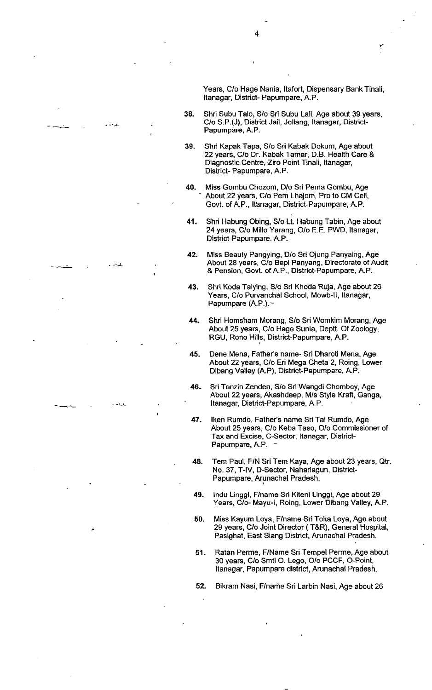Years, C/o Hage Nania, ltafort, Dispensary Bank Tinali, Itanagar, District- Papumpare, A.P.

- 38. Shri Subu Talo, S/o Sri Subu Lali, Age about 39 years, C/o S.P.(J), District Jail, Jollang, ltanagar, District-Papumpare, A.P.
- 39. Shri Kapak Tapa, S/o Sri Kabak Dokum, Age about 22 years, C/o Dr. Kabak Tamar, D.B. Health Care & Diagnostic Centre, Ziro Point Tinali, Itanagar, District- Papumpare, A.P.
- 40. Miss Gombu Chozom, D/o Sri Pema Gombu, Age ' About 22 years, C/o Pem Lhajom, Pro to CM Cell, Govt. of A.P., Itanagar, District-Papumpare, A.P.
- 41, Shri Habung Obing, S/o Lt. Habung Tabin, Age about 24 years, C/o Millo Yarang, O/o E.E. PWD, ltanagar, District-Papumpare. A.P.
- 42. Miss Beauty Pangying, D/o Sri Ojung Panyaing, Age About 28 years, C/o Bapi Panyang, Directorate ot Audit & Pension, Govt. of A.P., District-Papumpare, A.P.
- 43. Shri Koda Talying, S/o Sri Khoda Ruja, Age about 26 Years, C/o Purvanchal School, Mowb-ll, ltanagar, Papumpare (A.P.). -
- 44. Shri Homsham Morang, S/o Sri Womkim Morang, Age About 25 years, C/o Hage Sunia, Deptt. Of Zoology, RGU, Rono Hills, District-Papumpare, A.P.
- 45. Dene Mena, Father's name- Sri Dharoti Mena, Age About 22 years, C/o Eri Mega Cheta 2, Roing, Lower Dibang Valley (A.P), District-Papumpare, A.P.
- 46- Sri Tenzin Zenden, S/o Sri Wangdi Chombey, Age About 22 years, Akashdeep, M/s Style Kraft, Ganga, Itanagar, District-Papumpare, A.P.
- 47. lken Rumdo, Father's name Sri Tai Rumdo, Age About 25 years, C/o Keba Taso, O/o Commissioner of Tax and Excise, C-Sector, ltanagar, District-Papumpare, A.P.
- 48. Tem Paul, F/N Sri Tem Kaya, Age about 23 years, Qtr. No. 37, T-lV, D-Sector, Naharlagun, District-Papumpare, Arunachal Pradesh.
- 49. lndu Linggi, F/name Sri Kiteni Linggi, Age about 29 Years, C/o- Mayu-I, Roing, Lower Dibang Valley, A.P.
- 50. Miss Kayum Loya, F/name Sri Toka Loya, Age about 29 years, C/o Joint Director ( T&R), General Hospital, Pasighat, East Siang District, Arunachal Pradesh-
- 51. Ratan Perme, F/Name Sri Tempel Perme, Age about 30 years, C/o Smti O- Lego, O/o PCCF, O-Point, Itanagar, Papumpare district, Arunachal Pradesh.
- 52. Bikram Nasi, F/narne Sri Larbin Nasi, Age about 26

4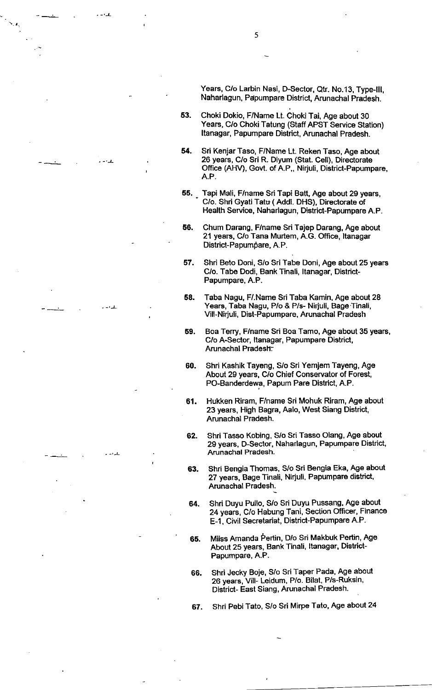Years, C/o Larbin Nasi, D-Sector, Qtr. No.13, Type-III, Naharlagun, Pdpumpare District, Arunachal Pradesh.

- 53. Choki Dokio, F/Name Lt. Choki Tai, Age about <sup>30</sup> Years, C/o Choki Tatung (Staff APST Service Station) Itanagar, Papumpare District, Arunachal Pradesh.
- 54. Sri Kenjar Taso, F/Name Lt. Reken Taso, Age about 26 years, C/o Sri R. Diyum (Stat. Cell), Directorate Office (AHV), Govt. of A.P., Nirjuli, District-Papumpare, A.P.
- 55, Tapi Mali, F/name Sri Tapi Batt, Age about 29 years, C/o. Shri Gyati Tatu ( Addl. DHS), Directorate of Health Service, Naharlagun, District-Papumpare A.P.
- 66. Chum Darang, F/name Sri Tajep Darang, Age about 21 years, C/o Tana Murtem, A.G. Office, ltanagar District-Papumpare, A.P.
- 57. Shri Beto Doni, S/o Sri Tabe Doni, Age about 25 years C/o. Tabe Dodi, Bank Tinali, Itanagar, District-Papumpare, A.P.
- Taba Nagu, F/.Name Sri Taba Kamin, Age about 28 Years, Taba Nagu, P/o & P/s- Nirjuli, Bage'Tinali, Vill-Nirjuli, Dist-Papumpare, Arunachal Pradesh 58

)-

- Boa Terry, F/name Sri Boa Tamo, Age about 35 years, C/o A-Sector, ltanagar, Papumpare Distric{, Arunachal Pradesh. 59
- 60. Shri Kashik Tayeng, S/o Sri Yemjem Tayeng, Age About 29 years, C/o Chief Conservator of Forest, PO-Banderdewa, Papum Pare Diskict, A.P.
- 61. Hukken Riram, F/name Sri Mohuk Riram, Age about 23 years, High Bagra, Aalo, West Siang Diskict, Arunachal Pradesh.
- 62. Shri Tasso Kobing, S/o Sri Tasso Olang, Age about 29 years, D-Sector, Naharlagun, Papumpare District, Arunachal Pradesh.
- G3. Shri Bengia Thomas, S/o Sri Bengia Eka, Age about 27 years, Bage Tinali, Nirjuli, Papumpare district, Arunachal Pradesh.
- 64. Shri Duyu Pullo, S/o Sri Duyu Pussang, Age about 24 years, C/o Habung Tani, Section Officer, Finance E-1, Civil Secretariat, District-Papumpare A.P.
- 65. Miiss Amanda Pertin, D/o Sri Makbuk Pertin, Age About 25 years, Bank Tinali, ltanagar, District-Papumpare, A.P.
- G6. Shri Jecky Boje, S/o Sri Taper Pada, Age about 26 years, Vill- Leidum, P/o. Bilat, P/s-Ruksin, District- East Siang, Arunachal Pradesh.

67. Shri Pebi Tato, S/o Sri Mirpe Tato, Age about 24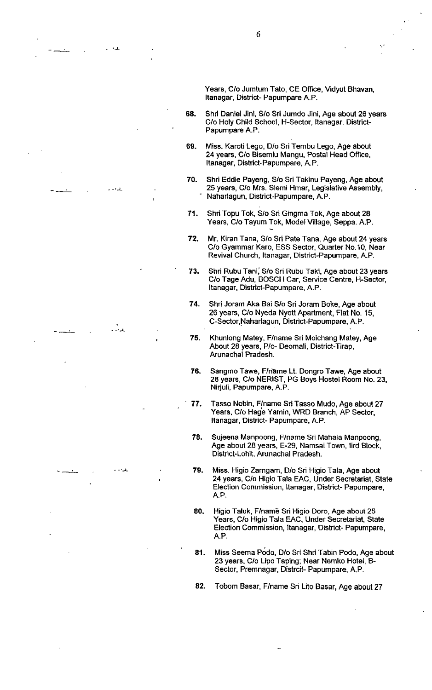Years, C/o Jumturn-Tato, CE Office, Vidyut Bhavan, Itanagar, District- Papumpare A.P.

- 68. Shri Daniel Jini, Sio Sri Jumdo Jini, Age about 26 years C/o Holy Child School, H-Sector, ltanagar, District-Papumpare A.P.
- 69. Miss. Karoti Lego, D/o Sri Tembu Lego, Age about 24 years, C/o Bisemlu Mangu, Postal Head Office, Itanagar, District-Papumpare, A.P.
- 70. Shri Eddie Payeng, S/o Sri Takinu Payeng, Age about 25 years, C/o Mrs. Siemi Hmar, Legislative Assembly, Naharlagun, District-Papumpare, A. P.
- 71. Shri Topu Tok, S/o Sri Gingma Tok, Age about 28 Years, C/o Tayum Tok, Model Village, Seppa. A.P.
- 72. Mr. Kiran Tana, S/o Sri Pate Tana, Age about 24 years C/o Gyammar Karo, ESS Sector, Quarter No.10, Near Revival Church, ltanagar, District-Papumpare, A.P.
- 73. Shri Rubu Tani, S/o Sri Rubu Taki, Age about 23 years C/o Tage Adu, BOSCH Car, Service Centre, H-Sector, Itanagar, District-Papumpare, A.P.
- 74. Shri Joram Aka Bai S/o Sri Joram Boke, Age about 26 years, C/o Nyeda Nyett Apartment, Flat No. 15, C-Sector,Naharlagun, District-Papumpare, A. P.

للداماء

- 75. Khunlong Matey, F/name Sri Moichang Matey, Age About 28 years, P/o- Deomali, District-Tirap, Arunachal Pradesh.
- 76. Sangmo Tawe, F/name Lt. Dongro Tawe, Age about 28 years, C/o NERIST, PG Boys Hostel Room No. 23, Nirjuli, Papumpare, A.P.
- 77. Tasso Nobin, F/name Sri Tasso Mudo, Age about 27 Years, C/o Hag'e Yamin, WRD Branch, AF Sector, Itanagar, District- Papumpare, A.P.
- 78. Suieena Manpoong, F/name Sri Mahala Manpoong, Age about 28 years, E-29, Namsai Town, lird Block, District-Lohit, Arunachal Pradesh.
- 79 Miss. Higio Zarngam, D/o Sri Higio Tala, Age about 24 years, C/o Higio Tala EAC, Under Secretariat, State Election Commission, ltanagar, District- Papumpare, A.P.
- 80 Higio Taluk, F/name Sri Higio Doro, Age about 25 Years, C/o Higio Tala EAC, Under Secretariat, State Election Commission, ltanagar, District- Papumpare, A.P.
- 81. Miss Seema Podo, D/o Sri Shri Tabin Podo, Age about 23 years, C/o Lipo Taping; Near Nemko Hotel, B-Sector, Premnagar, Distrcit- Papumpare, A.P.

82. Tobom Basar, F/name Sri Lito Basar, Age about 27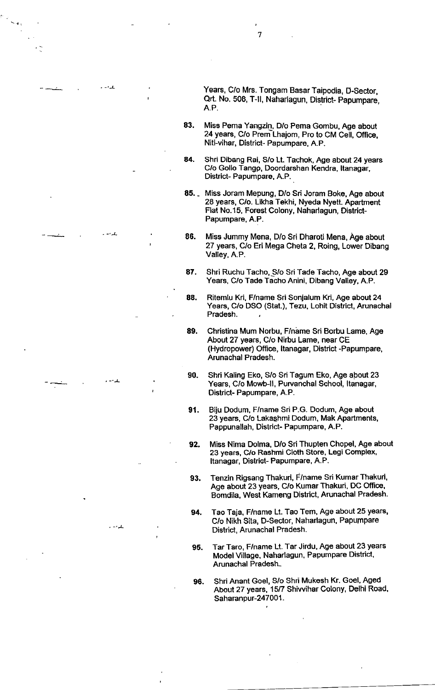Years, C/o Mrs. Tongam Basar Taipodia, D-Sector, Qrt. No. 508, T-II, Naharlagun, District- Papumpare, A.P.

83. Miss Pema Yangzin, D/o Pema Gombu, Age about 24 years, C/o Prem Lhajom, Pro to CM Cell, Office, Niti-vihar, Districh Papumpare, A.P.

7

- 84. Shri Dibang Rai, S/o Lt. Tachok, Age about 24 years C/o Gollo Tangp, Doordarshan Kendra, ltanagar, District- Papumpare, A.P.
- 85. Miss Joram Mepung, D/o Sri Joram Boke, Age about 26 years, C/o. Likha Tekhi, Nyeda Nyett. Apartment Flat No.15, Forest Colony, Naharlagun, District-Papumpare, A.P.
- 86. Miss Jummy Mena, D/o Sri Dharoti Mena, Age about 27 years, C/o Eri Mega Cheta 2, Roing, Lower Dibang Valley, A.P.

-'-l-

 $-1$ 

-.)-

- 87. Shri Ruchu Tacho, S/o Sri Tade Tacho, Age about 29 Years, C/o Tade Tacho Anini, Dibang Valley, A.P.
- 88. Ritemlu Kri, F/name Sri Sonjalum Kri, Age about 24 Years, C/o DSO (Stat.), Tezu, Lohit District, Arunachal Pradesh.
- 89. Christina Mum Norbu, F/name Sri Borbu Lame, Age About 27 years, C/o Nirbu Lame, near CE (Hydropower) Office, ltanagar, District -Papumpare, Arunachal Pradesh.
- 90. Shri Kaling Eko, S/o Sri Tagum Eko, Age about <sup>23</sup> Years, C/o Mowb-II, Purvanchal School, Itanagar, District- Papumpare, A.P.
- 91. Biju Dodum, F/name Sri P.G. Dodum, Age about 23 years, C/o Lakashmi Dodum, Mak Apartments, Pappunallah, District- Papumpare, A.P.
- 92. Miss Nima Dolma, D/o Sri Thupten Chopel, Age about 23 years, C/o Rashmi Cloth Store, Legl Complex, Itanagar, Distriot- Papumpare, A.P.
- 93, Tenzin Rigsang Thakuri, F/name Sfi Kumar Thakuri, Age about 23 years, C/o Kumar Thakuri, DC Office, Bomdila, West Kameng District, Arunachal Pradesh.
- 94. Tao Taja, F/name Lt. Tao Tem, Age about 25 years, C/o Nikh Sita, D-Sector, Naharlagun, Papumpare District, Arunachal Pradesh.
- 95. Tar Taro, F/name Lt. Tar Jirdu, Age about 23 years Model Village, Naharlagun, Papumpare District, Arunachal Pradesh-
- 96. Shri Anant Goel, S/o Shri Mukosh Kr. Goel, Aged About 27 years, 157 Shiwihar Colony, Delhi Road, Saharanpur-247001.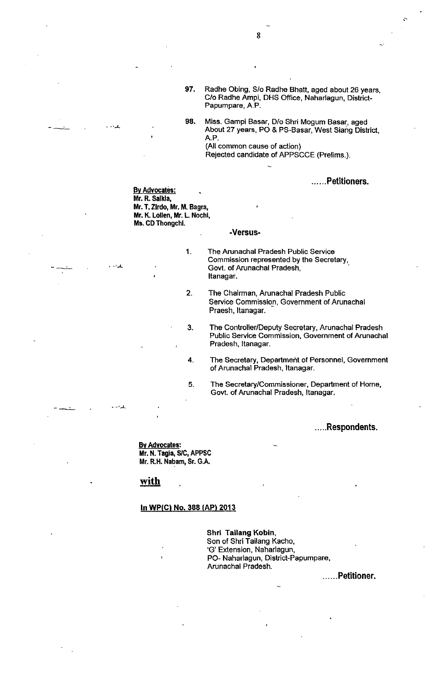- 97. Radhe Obing, S/o Radhe Bhatt, aged about 26 years, C/o Radhe Ampi, DHS Office, Naharlagun, District-Papumpare, A.P.
- 98. Miss. Gampi Basar, D/o Shri Mogum Basar, aged About 27 years, PO & PS-Basar, West Siang Diskict, A.P. (All common cause of action)

Reiected candidate of APPSCCE (Prelims.).

......Petitioners.

#### **By Advocates:** Mr. R. Salkla, Mr. T. Zirdo, Mr. M. Bagra, Mr. K. Lollen, Mr. L. Nochi, Ms. CD Thongchl.

1

 $\mathcal{L} \cdot \mathcal{L}$ 

-,)-

#### -Versus-

The Arunachal Pradesh Public Service Commission represented by the Secretary, Govt. of Arunachal Pradesh, Itanagar.

- The Chairman, Arunachal Pradesh Public Service Commission, Government of Arunachal Praesh, ltanagar. 2
- The Controller/Deputy Secretary, Arunachal Pradesh Public Service Commission, Government of Arunachal Pradesh, ltanagar. 3
- The Secretary, Department of Personnel, Government of Arunachal Pradesh, ltanagar. 4
- The Secretary/Commissioner, Department of Home, Govt. of Arunachal Pradesh, ltanagar. 5

. . . ..Respondents.

Bv Advocates: Mr. N. Tagia, S/C, APPSC Mr. R.H, Nabam, Sr. G.A"

# with

#### In WP(C) No. 388 (AP) 2013

Shrl Tailang Kobin, Son of Shri Tailang Kacho, 'G' Extension, Naharlagun, PO- Naharlagun, District-Papumpare, Arunachal Pradesh.

...Petitioner.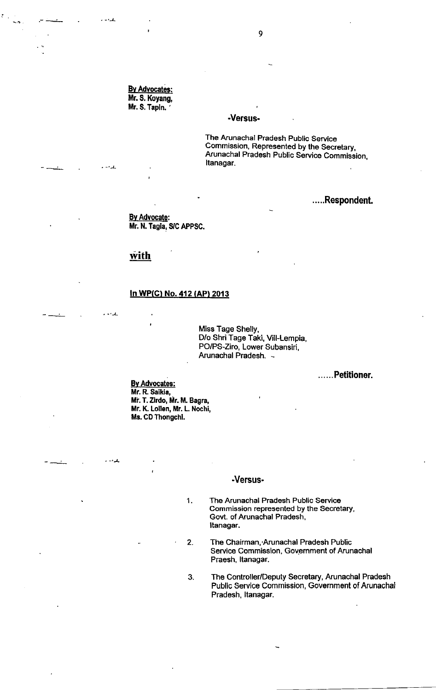By Advocates: Mr. S. Koyang, Mr. S. Tapln. '

)-

 $-1$ 

ساردار

بنائية وأسار

#### -Versus.

The Arunachal Pradesh Public Service Commission, Represented by the Secretary, Arunachal Pradesh Public Service Commission, Itanagar.

# .....Respondent.

By Advocate: Mr. N. Tagla, S/C APPSC.

## with

### In WP(C) No. 412 (AP) 2013

Miss Tage Shelly, D/o Shri Tage Taki, Vill-Lempia, PO/PS-Ziro, Lower Subansiri, Arunachal Pradesh. -

......Petitioner.

Bv Advocates: Mr. R. Saikla, Mr. T. Zirdo, Mr. M. Bagra, Mr. K. Lollen, Mr. L. Nochi, Ms. CD Thongchl.

#### -Versus-

- The Arunachal Pradesh Public Service Commission represented by the Secretary, Govt. of Arunachal Pradesh, Itanagar. 1
- The Chairman, Arunachal Pradesh Public Service Commission, Government of Arunachal Praesh, ltanagar. 2
- The Controller/Deputy Secretary, Arunachal Pradesh Public Service Commission, Government of Arunachal Pradesh, ltanagar. 3.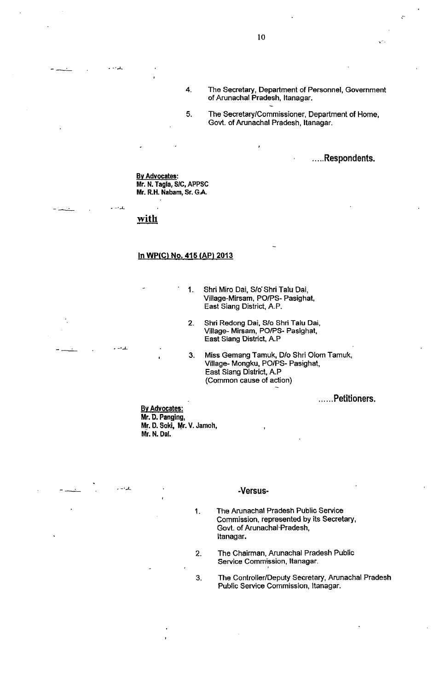- 4 The Secretary, Department of Personnel, Government of Arunachal Pradesh, ltanagar.
- 5 The Secretary/Commissioner, Department of Home, Govt. of Arunachal Pradesh, ltanagar.

.....Respondents.

Bv Advocates: Mr. N. Tagla, S/c, APPSC Mr. R.H. Nabam, Sr. G.A.

# with

 $. - 1$ 

بالمداوس

 $\ddotsc$ 

#### In WP(C) No. 415 (AP) 2013

- Shri Miro Dai, S/o Shri Talu Dai, Village-Mirsam, PO/PS- Pasighat, East Siang District, A.P. 1
- Shri Redong Dai, S/o Shri Talu Dai, Village- Mirsam, PO/PS- Pasighat, East Siang District, A.P 2
- 3 Miss Gemang Tamuk, D/o Shri Olom Tamuk, Village- Mongku, PO/PS- Pasighat, East Siang District, A.P (Common cause of action)

......Petitioners.

Mr. D. Panging, Mr. D. Soki, Mr. V. Jamoh, Mr. N. Dal. Bv Advocates:

#### -Versus-

1

- The Arunachal Pradesh Public Service Commission, represented by its Secretary, Govt. of Arunachal-Pradesh, Itanagar.
- The Chairman, Arunachal Pradesh Public Service Commission, Itanagar. 2
- The Controller/Deputy Secretary, Arunachal Pradesh Public Service Commission, ltanagar. 3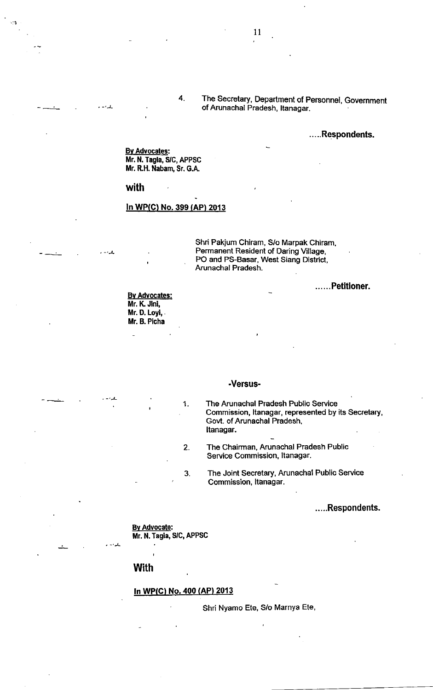### .....Respondents.

Bv Advocates: Mr. N. Tagla, S/C, APPSC Mr. R.H. Nabam, Sr. G.A.

#### with

 $-1$ 

 $I - I$ 

#### In WP(C) No. 399 (AP) 2013

4

Shri Pakjum Chiram, S/o Marpak Chiram, Permanent Resident of Daring Village, PO and PS-Basar, West Siang District, Arunachal Pradesh.

......Petitioner.

<u>By Advocates:</u> Mr. K. Jini, Mr. D, Loyi,. Mr, B. Plcha

#### -Versus-

The Arunachal Pradesh Public Service Commission, ltanagar, represented by its Secretary, Govt. of Arunachal Pradesh, Itanagar.

The Ghairman, Arunachal Pradesh Public Service Commission, ltanagar. 2

The Joint Secretary, Arunachal Public Service Commission, ltanagar. 3

# .....Respondents.

Bv Advocate: Mr. N. Tagia, S/C, APPSC

### with

-L

### ln WP(C) No.400 (AP) 2013

1

Shri Nyamo Ete, S/o Marnya Ete,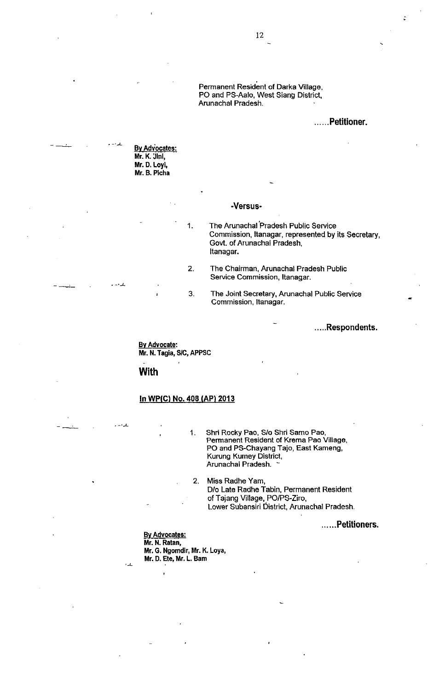Permanent Resident of Darka Mllage, PO and PS-Aalo, West Siang District, Arunachal Pradesh.

### .Petitioner.

.....Respondents.

<u>By Advocates:</u> Mr. K. Jlnl, Mr. D. Loyl, Mr. B. Plcha

للدويد

 $-1$ 

 $\mathbf{1} \times \mathbf{1}$ 

للدار

#### -Versus-

The Arunachal Pradesh Public Service Commission, ltanagar, represented by its Secretary, Govt. of Arunachal Pradesh, Itanagar.

- The Chairman, Arunachal Pradesh Public Service Commission, ltanagar. 2
- The Joint Secretary, Arunachal Public Service Commission, ltanagar. 3

Bv Advocate: Mr. N. Tagia, S/C, APPSC

1

with

### In WP(C) No. 408 (AP) 2013

Shri Rocky Pao, S/o Shri Samo Pao, Permanent Resident of Krema Pao Village, Po and PS-Chayang Taio, East Kameng, Kurung Kumey District, Arunachal Pradesh. 1

2. Miss Radhe Yam, D/o Late Radhe Tabin, Permanent Resident of Tajang Village, PO/PS-Ziro, Lower Subansiri District, Arunachal Pradesh

......Petitioners.

<u>By Advocates</u> Mr. N. Ratan, Mr. G. Ngomdir, Mr. K. Loya, Mr. D. Ete, Mr. L. Bam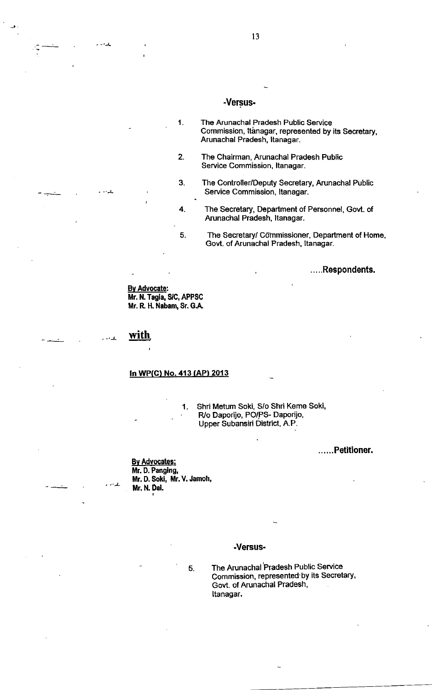# -Versus.

- The Arunachal Pradesh Public Service Commission, Itanagar, represented by its Secretary, Arunachal Pradesh, ltanagar. 1
- The Chairman, Arunachal Pradesh Public Service Commission, ltanagar. 2
- The Controller/Deputy Secretary, Arunachal Public Service Commission, ltanagar. 3
	- The Secretary, Department of Personnel, Govt. of Arunachal Pradesh, ltanagar.
	- The Secretary/ Commissioner, Department of Home, Govt. of Arunachal Pradesh, ltanagar.

. . . ..Respondents.

By Advocate: Mr. N. Tagla, SlC, APPSC Mr. R H. Nabam, Sr. G.A,

4

5

with.

)-

بالدامد

 $-$ 

)-

# In WP(C) No. 413 (AP) 2013

1. Shri Metum Soki, S/o Shri Keme Soki, R/o Daporijo, PO/PS- Daporijo, Upper Subansiri District, A.P.

......Petitioner.

Bv Advocates: Mr. D. Panglng, Mr. D. Sokl, Mr. V. Jamoh, Mr. N. Dal.

### .Versus-

5

The Arunachal Pradesh Public Service Commission, represented by its Secretary, Govt. of Arunachal Pradesh, Itanagar.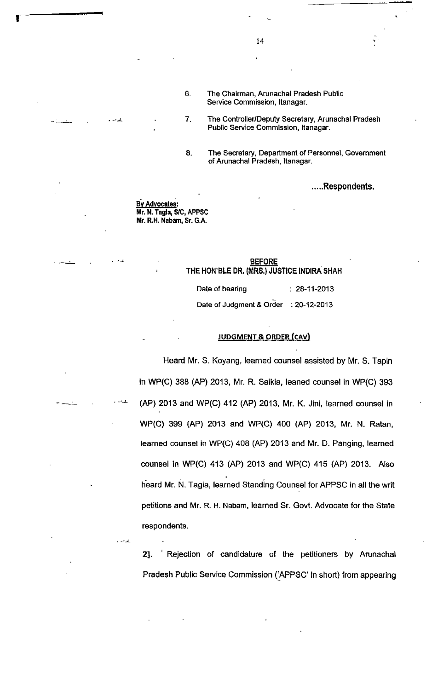- The Chairman, Arunachal Pradesh Public Service Commission, ltanagar. 6
	- The Controller/Deputy Secretary, Arunachal Pradesh Public Service Commission, ltanagar.
- The Secretary, Department of Personnel, Govemment of Arunachal Pradesh, ltanagar. 8

. . . ..Respondents.

**By Advocates:** Mr. N. Tagla, S/C, APPSC Mr. R.H. Nabam, Sr, G.A.

7

)-

)-

## **BEFORE** THE HON'BLE DR. (MRS.) JUSTICE INDIRA SHAH

Date of hearing  $\qquad \qquad$  : 28-11-2013

Date of Judgment & Order : 20-12-2013

#### JUDGMENT & ORDER (CAVI

Heard Mr. S. Koyang, learned counsel assisted by Mr. S. Tapin in WP(C) 388 (AP) 2013, Mr. R. Saikia, leaned counsel in WP(C) 393 (AP) 2013 and WP(C) 412 (AP) 2013, Mr. K. Jini, learned counsel in WP(C) 399 (AP) 2013 and WP(C) 400 (AP) 2013, Mr. N. Ratan, learned counsel in WP(C) 408 (AP) 2013 and Mr. D. Panging, learned counsel in WP(C) 413 (AP) 2013 and WP(C) 415 (AP) 2013. Also heard Mr. N. Tagia, learned Standing Counsel for APPSC in all the writ petitions and Mr. R. H. Nabam, learned Sr, Govt. Advocate for the State respondents.

21. ' Rejection of candidature of the petitioners by Arunachal Pradesh Public Service Commission ('APPSC' in short) from appearing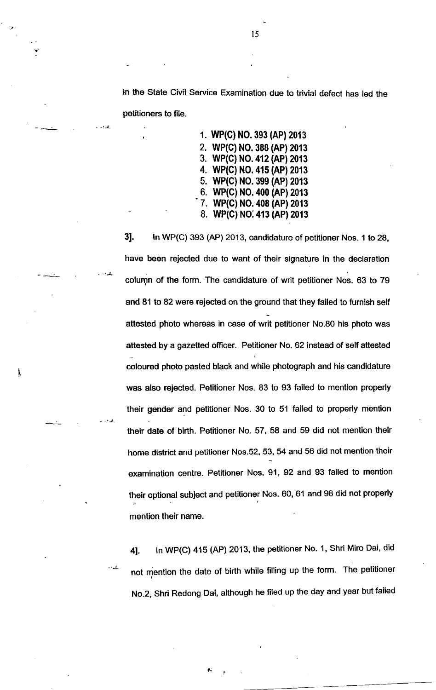in the State Civil Service Examination due to trivial defect has led the

petitioners to file.

)-

.L

I

1. wP(c) No. 3e3 (AP) 2013 2. WP(C) NO.388 (AP) 2013 3. WP(C) NO.412 (AP)2013 4. WP(C) NO. 41s (AP) 2013 5. WP(C) NO.399 (AP)2013 6. WP(C) N0.400 (AP) 2013 7. WP(C) NO. 408 (AP) 2013 8. WP(C) NO:413 (AP) 2013

31. ln WP(C) 393 (AP) 2013, candidature of petitioner Nos. 1 to 28, have been rejected due to want of their signature in the declaration column of the form. The candidature of writ petitioner Nos. 63 to 79 and 81 to 82 were rejected on the ground that they failed to fumish self attested photo whereas in case of writ petitioner No.80 his photo was attested by a gazetted officer. Petitioner No. 62 instead of self attested coloured photo pasted black and while photograph and his candidature was also rejected. Petitioner Nos. 83 to 93 failed to mention properly their gender and petitioner Nos. 30 to 51 failed to properly mention their date of birth. Petitioner No. 57, 58 and 59 did not mention their home district and petitioner Nos.52, 53, 54 and 56 did not mention their examination centre. Petitioner Nos.91,92 and 93 failed to mention their optional subject and petitioner Nos. 60, 61 and 98 did not properly mention their name.

4]. In WP(C) 415 (AP) 2013, the petitioner No. 1, Shri Miro Dai, did not mention the date of birth while filling up the form. The petitioner No.2, Shri Redong Dai, although he filed up the day and year but failed

I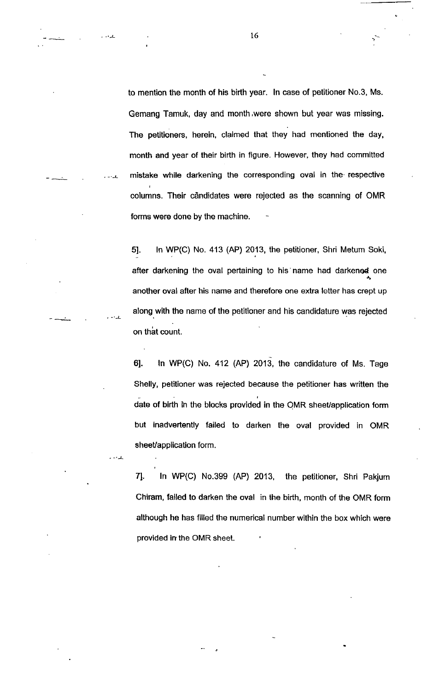to mention the month of his birth year. ln case of petitioner No.3, Ms. Gemang Tamuk, day and month,were shown but year was missing. The petitioners, herein, claimed that they had mentioned the day, month and year of their birth in figure. However, they had committed mistake while darkening the corresponding oval in the respective columns. Their cândidates were rejected as the scanning of OMR forms were done by the machine.

51. ln WP(C) No. 413 (AP) 2013, the petitioner, Shri Metum Soki, after darkening the oval pertaining to his name had darkenod one another oval after his name and therefore one extra letter has crept up along with the name of the petitioner and his candidature was rejected on that count.

..).

بلداء .

 $-1$ 

61. ln WP(C) No. 412 (AP) 2013, the candidature of Ms. Tage Shelly, petitioner was rejected because the petitioner has written the date of birth in the blocks provided in the OMR sheet/application form but inadvertently failed to darken the oval provided in OMR sheet/application form.

71. ln WP(C) No.399 (AP) 2013, the petitioner, Shri Pakjum Chiram, failed to darken the oval in the birth, month of the OMR form although he has filled the numerical number within the box which were provided in the OMR sheet.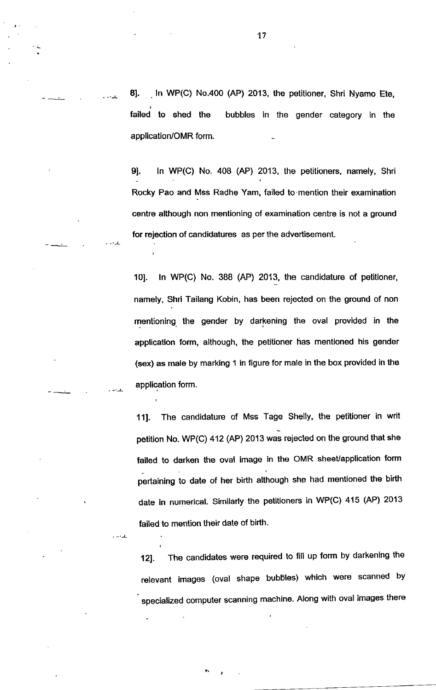8]. In WP(C) No.400 (AP) 2013, the petitioner, Shri Nyamo Ete, failed to shed the bubbles in the gender category in the application/OMR form.

91. ln WP(C) No. 408 (AP) 2013, the petitioners, namely, Shri Rocky Pao and Mss Radhe Yam, failed to mention their examination centre although non mentioning of examination centre is not a ground for rejection of candidatures as per the advertisement.

101. ln WP(C) No. 3BB (AP) 2013, the candidature of petitioner, namely, Shri Tailang Kobin, has been rejected on the ground of non mentioning. the gender by darkening the oval provided in the application form, although, the petitioner has mentioned his gender (sex) as male by marking 1 in figure for male in the box provided in the application form.

111. The candidature of Mss Tage Shelly, the petitioner in writ petition No. WP(C) 412 (AP) 2013 was rejected on the ground that she failed to darken the oval image in the OMR sheet/application form pertaining to date of her birth although she had mentioned the birth date in numerical. Similarly the petitioners in WP(C) 415 (AP) <sup>2013</sup> failed to mention their date of birth.

121. The candidates were required to fill up form by darkening the relevant images (oval shape bubbles) which were scanned by specialized computer scanning machine. Along with oval images there

 $\cdot$  -  $\pm$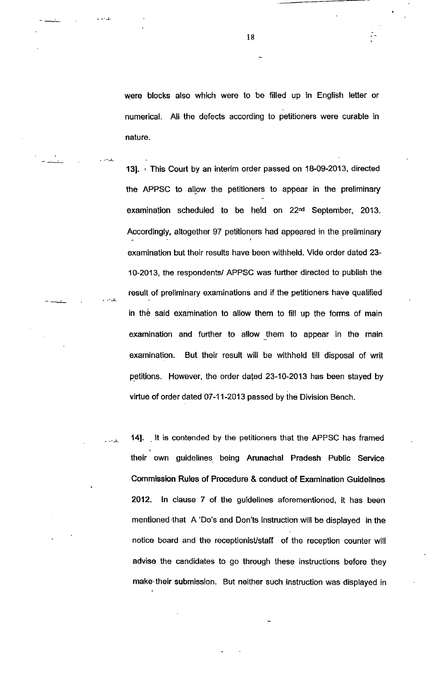were blocks also which were to be filled up in English letter or numerical. All the defects according to petitioners were curable in nature.

131. , This Court by an interim order passed on 18-09-2013, directed the APPSC to allow the petitioners to appear in the preliminary examination scheduled to be held on 22nd September, 2013. Accordingly, altogether 97 petitioners had appeared in the preliminary examination but their results have been withheld. Vide order dated 23- 10-2013, the respondents/ APPSC was further directed to publish the result of preliminary examinations and if the petitioners have qualified in the said examination to allow them to fill up the forms of main examination and further to allow them to appear in the main examination. But their result will be withheld till disposal of writ petitions. However, the order dated 23-10-2013 has been stayed by virtue of order dated 07-11-2013 passed by the Division Bench.

14]. It is contended by the petitioners that the APPSC has framed their own guidelines being Arunachal Pradesh Public Service Commission Rules of Procedure & conduct of Examination Guidelines 2012. ln clause 7 of the guidelines aforementioned, it has been rnentioned.that A'Do's and Don'ts instruction will be displayed in the notice board and the receptionisVstaff of the reception counter will advise the candidates to go through these instructions before they make their submission. But neither such instruction was displayed in

 $\overline{a}$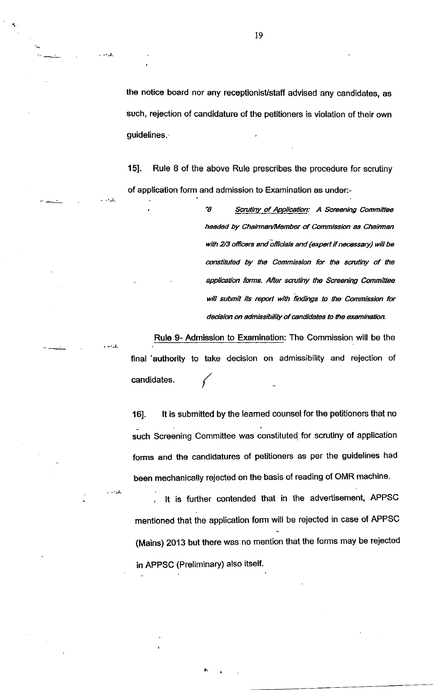the notice board nor any receptionist/staff advised any candidates, as such, rejection of candidature of the petitioners is violation of their own guidelines.

15]. Rule B of the above Rule prescribes the procedure for scrutiny of application form and admission to Examination as under:-

> "8 Scrutiny of Application: A Screening Committee headed by Chairman/Member of Commission as Chairman with 2/3 officers and officials and (expert if necessary) will be constituted by the Commission for the scrutiny of the application forms. After scrutiny the Screening Committee will submit its report with findings to the Commission for decision on admissibility of candidates to the examination.

Rule 9- Admission to Examination: The Commission will be the final 'authority to take decision on admissibility and rejection of candidates.

)-

)-

16]. It is submitted by the learned counsel for the petitioners that no such Screening Committee was constituted for scrutiny of application forms and the candidatures of petitioners as per the guidelines had been mechanically rejected on the basis of reading of OMR machine.

, lt is further contended that in the advertisement, APPSC mentioned that the application form will be rejected in case of APPSC (Mains) 2013 but there was no mention that the forms may be rejected in APPSC (Preliminary) also itself.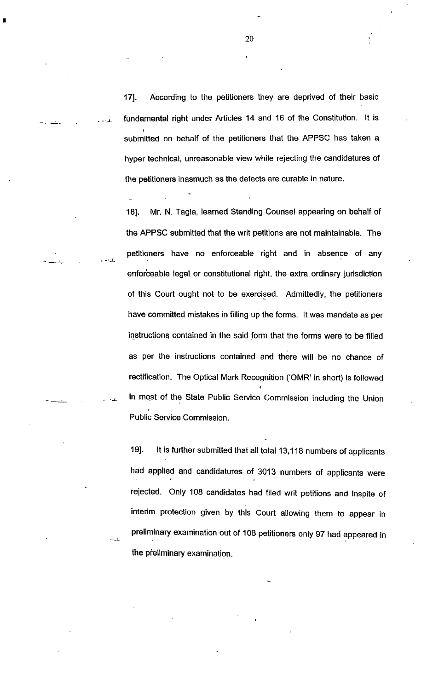171. According to the petitioners they are deprived of their basic fundamental right under Articles 14 and 16 of the Constitution. lt is submitted on behalf of the petitioners that the APPSC has taken a hyper technical, unreasonable view while rejecting the candidatures of the petitioners inasmuch as the defects are curable in nature.

18]. Mr. N. Tagia, learned Standing Courtsel appearing on behalf of the APPSC submitted that the writ petitions are not maintainable. The petitioners have no enforceable right and in absence of any enforceable legal or constitutional right, the extra ordinary jurisdiction of this Court ought not to be exercised. Admittedly, the petitioners have committed mistakes in filling up the forms. lt was mandate as per instructions contained in the said form that the forms were to be filled as per the instructions contained and there will be no chance of rectification. The Optical Mark Recognition ('OMR' in short) is followed in most of the State Public Service Commission including the Union Public Service Commission.

19]. lt is further submitted that all total 13,118 numbers of applicants had applied and candidatures of 3013 numbers of applicants were rejected. Only 108 candidates had filed writ petitions and inspite of interim protection given by this Court allowing them to appear in preliminary examination out of 108 petitioners only g7 had appeared in the pteliminary examination.

-J-

ے ۔

للدوم

I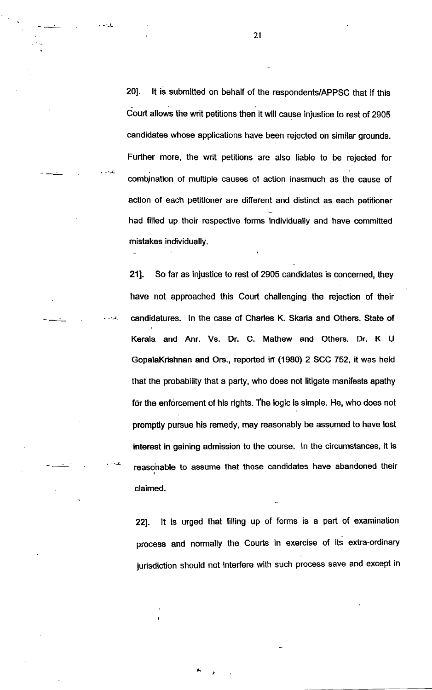201. lt is submitted on behalf of the respondents/APPSC that if this Court allows the writ petitions then it will cause injustice to rest of 2905 candidates whose applications have been rejected on similar grounds. Further more, the writ petitions are also liable to be rejected for combination of multiple causes of action inasmuch as the cause of action of each petitioner are different and distinct as each petitioner had filled up their respective forms individually and have committed mistakes individually.

Kerala and Anr. Vs. Dr. C. Mathew and Others. Dr. K <sup>U</sup> GopalaKrishnan and Ors., reported in (1980) 2 SCC 752, it was held that the probability that a party, who does not litigate manifests apathy for the enforcement of his rights. The logic is simple. He, who does not promptly pursue his remedy, may reasonably be assumed to have lost interest in gaining admission to the course. ln the circumstances, it is reasohable to assume that these candidates have abandoned their claimed. 211. So far as injustice to rest of 2905 candidates is concemed, they have not approached this Court challenging the rejection of their candidatures. In the case of Charles K. Skaria and Others. State of

221. It is urged that filling up of forms is a part of examination process and normally the Courts in exercise of its extra-ordinary jurisdiction should not interfere with such process save and except in

,!

2t

.L

.L

J-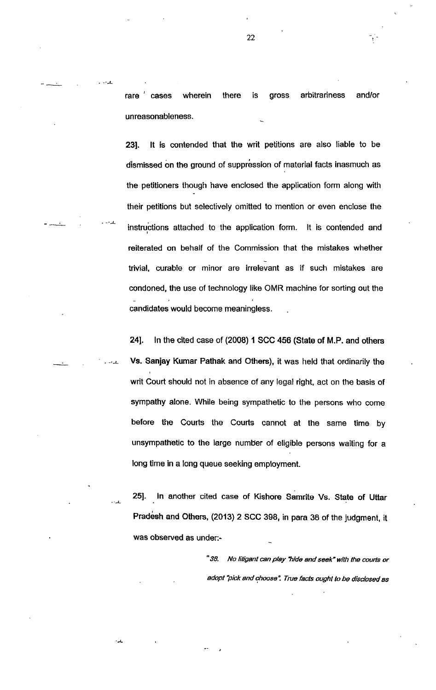rare cases wherein there is gross arbitrariness and/or unreasonableness.

231. lt is contended that the writ petitions are also liable to be dismissed on the ground of suppression of material facts inasmuch as the petitioners though have enclosed the application form along with their petitions but selectively omifted to mention or even enclose the instructions attached to the application form. lt is contended and reiterated on behalf of the Commission that the mistakes whether trivial, curable or minor are irrelevant as if such mistakes are condoned, the use of technology like OMR machine for sorting out the candidates would become meaningless.

241. ln the cited case of (2008) 1 SCC 456 (State of M.P. and others Vs. Sanjay Kumar Pathak and Others), it was held that ordinarily the writ Court should not in absence of any legal right, act on the basis of sympathy alone. While being sympathetic to the persons who come before the Courts the Courts cannot at the same time by unsympathetic to the large number of eligible persons waiting for a long time in a long queue seeking employment.

251. ln another cited case of Kishore Samrite Vs. State of Uftar Pradesh and Others, (2013) 2 SCC 398, in para 38 of the judgment, it was observed as under:-

ے۔

"38. No litigant can play "hide and seek" with the courts or adopt "pick and choose". True facts ought to be disclosed as

22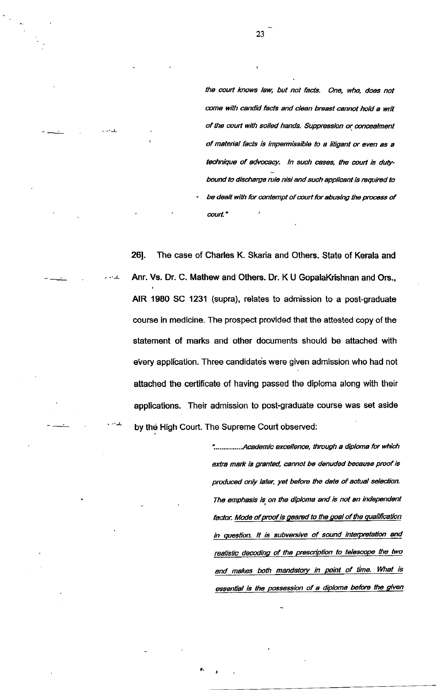the court knows law, but not facts. One, who, does not come with candid facts and clean breast cannot hold a writ of the court with soiled hands. Suppression or concealment of material facts is impermissible to a litigant or even as a technique of advocacy. In such cases, the court is dutybound to discharge rule nisi and such applicant is required to be dealt with for contempt of court for abusing the process of court."

26]. The case of Charles K. Skaria and Others. State of Kerala and Anr. Vs. Dr. C. Mathew and Others. Dr. K U GopalaKrishnan and Ors., AIR 1980 SC 1231 (supra), relates to admission to a post-graduate course in medicine. The prospect provided that the attested copy of the statement of marks and other documents should be attached with every application. Three candidate's were given admission who had not attached the certificate of having passed the diploma along with their applications. Their admission to post-graduate course was set aside by the High Court. The Supreme Court observed:

> \*................Academic excellence, through a diploma for which extra mark is granted, cannot be denuded because proof is produced only later, yet before the date of actual selection. The emphasis is on the diploma and is not an independent factor. Mode of proof is geared to the goal of the qualification in question. It is subversive of sound interpretation and realistic decoding of the prescription to telescope the two and makes both mandatory in point of time. What is essential is the possession of a diploma before the given

23

-'-L

 $\sim$   $\pm$ 

.L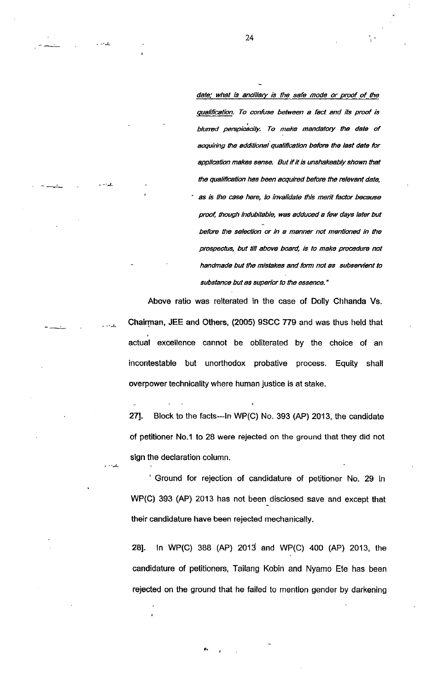date; what is ancillary is the safe mode or proof of the qualification. To confuse between a fact and its proof is blurred perspicacity. To make mandatory the date of acquiring the additional qualification before the last date for application makes sense. But if it is unshakeably shown that the qualification has been acquired before the relevant date, as is the case here, to invalidate this merit factor because proof, though indubitable, was adduced a few days later but before the selection or in a manner not mentioned in the prospectus, but till above board, is to make procedure not handmade but the mistakes and form not as subservient to substance but as superior to the essence."

Above ratio was reiterated in the case of Dolly Chhanda Vs. Chalrman, JEE and Others, (2005) 9SCC 779 and was thus held that actual excellence cannot be obliterated by the choice of an incontestable but unorthodox probative process. Equity shall overpower technicality where human justice is at stake.

271. Block to the facts--ln WP(C) No. 393 (AP) 2013, the candidate of petitioner No.1 to 28 were rejected on the ground that they did not sign the declaration column.

' Ground for rejection of candidature of petitioner No. 29 in WP(C) 393 (AP) 2013 has not been disclosed save and except that their candidature have been rejected mechanically.

28]. In WP(C) 388 (AP) 2013 and WP(C) 400 (AP) 2013, the candidature of petitioners, Tailang Kobin and Nyamo Ete has been rejected on the ground that he failed to mention gender by darkening

)\_

.L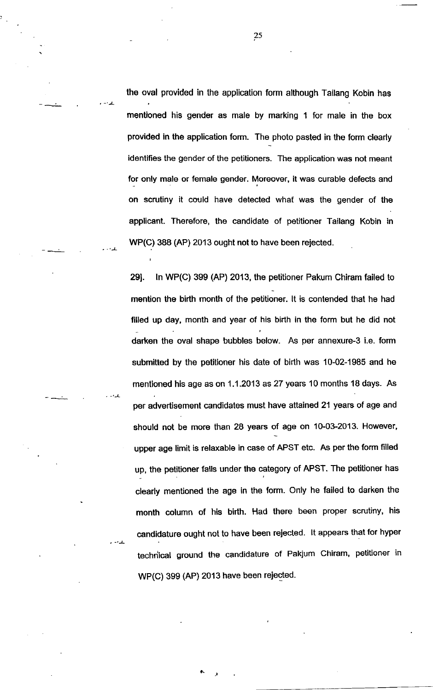the oval provided in the application form although Tailang Kobin has mentioned his gender as male by marking 1 for male in the box provided in the application form. The photo pasted in the form clearly identifies the gender of the petitioners. The application was not meant for only male or female gender. Moreover, it was curable defects and on scrutiny it could have detected what was the gender of the applicant. Therefore, the candidate of petitioner Tailang Kobin in WP(C) 388 (AP) 2013 ought not to have been rejected.

291. ln WP(C) 399 (AP) 2013, the petitioner Pakum Chiram failed to mention the birth month of the petitioner. lt is contended that he had filled up day, month and year of his birth in the form but he did not darken the oval shape bubbles below. As per annexure-3 i.e. form submitted by the petitioner his date of birth was 10-02-1985 and he mentioned his age as on 1.1.2013 as 27 years 10 months 1B days. As per advertisement candidates must have attained 21 years of age and should not be more than 28 years of age on 10-03-2013. However, upper age limit is relaxable in case of APST etc. As per the form filled up, the petitioner falls under the category of APST. The petitioner has clearly mentioned the age in the form. Only he failed to darken the month column of his birth. Had there been proper scrutiny, his candidature ought not to have been rejected. lt appears that for hyper techriical ground the candidature of Pakjum Chiram, petitioner in WP(C) 399 (AP) 2013 have been rejected.

25

 $\cdot$  -  $\perp$ 

.L

.L

)-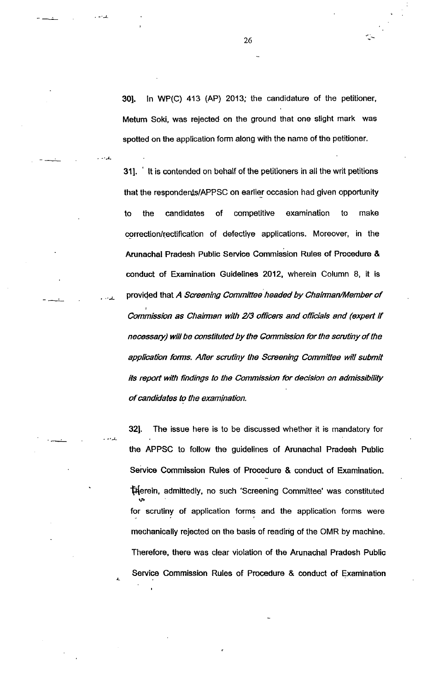301. ln WP(C) 413 (AP) 2013; the candidature of the petitioner, Metum Soki, was rejected on the ground that one slight mark was spotted on the application form along with the name of the petitioner.

311. ' lt is contended on behalf of the petitioners in all the writ petitions that the respondents/APPSC on earlier occasion had given opportunity to the candidates of competitive examination to make correction/rectification of defective applications. Moreover, in the Arunachal Pradesh Public Service Commission Rules of Procodure & conduct of Examination Guidelines 2012, wherein Column 8, it is provided that A Screening Committee headed by Chairman/Member of Commission as Chairman with 2/3 officers and officials and (expert if necessary) will be onstituted by the Commission for the scrutiny of the application forms. After scrutiny the Screening Committee will submit its report with findings to the Commission for decision on admissibility of candidates to the examinetion.

 $\mathbf{r}$ 

321. The issue here is to be discussed whether it is mandatory for the APPSC to follow the guidelines of Arunachal Pradosh Public Service Commission Rules of Procedure & conduct of Examination. flerein, admiftedly, no such 'screening Committee' was constituted for scrutiny of application forms and the application forms were mechanically rejected on the basis of readirig of the OMR by machine. Therefore, there was clear violation of the Arunachal Pradesh Public Service Commission Rules of Procedure & conduct of Examination

26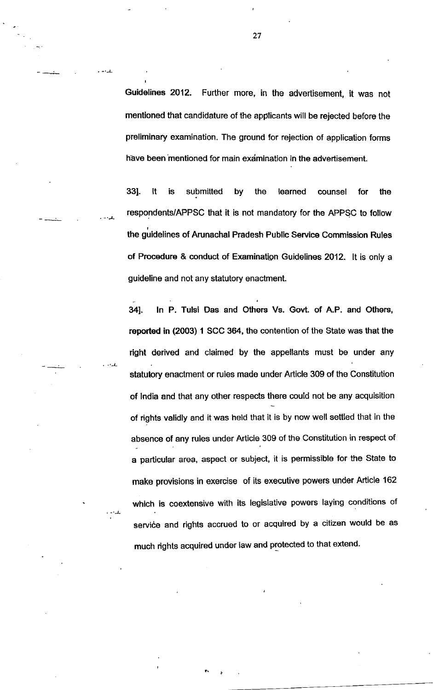Guidelines 2012. Further more, in the advertisement, it was not mentioned that candidature of the applicants will be rejected before the preliminary examination. The ground for rejection of application forms have been mentioned for main examination in the advertisement.

331. lt is submitted by the learned counsel for the respondents/APPSc that it is not mandatory for the APPSC to follow the guidelines of Arunachal Pradesh Public Service Commission Rules of Procedure & conduct of Examination Guidelines 2012. It is only a guideline and not any statutory enactment.

341. ln P. Tulsi Das and Others Vs. Govt. of A.P. and Others, reported in (2003) 1 SCC 364, the contention of the State was that the right derived and claimed by the appellants must be under any statutory enactment or rules made under Article 309 of the Constitution of lndia and that any other respects there could not be any acquisition of rights validly and it was held that it is by now well settled that in the absence of any rules under Article 309 of the Constitution in respect of a particular area, aspect or subject, it is permissible for the State to make provisions in exercise of its executive powers under Article 162 which is coextensive with its legislative powers laying conditions of service and rights accrued to or acquired by a citizen would be as much rights acquired under law and protected to that extend.

27

.L

)-